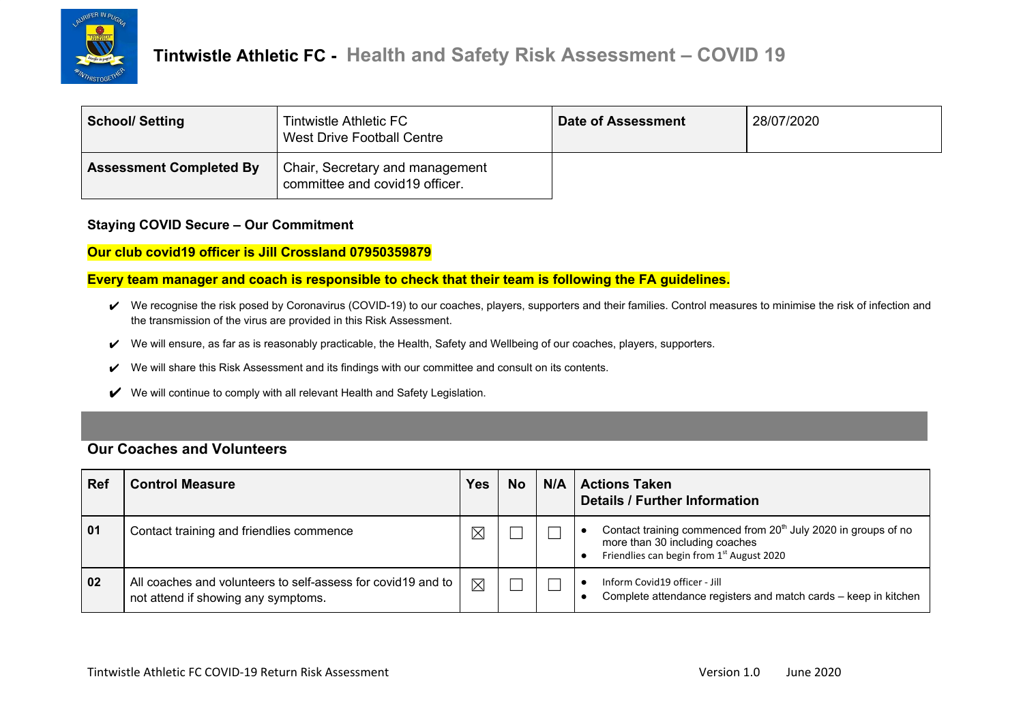

| <b>School/ Setting</b>         | Tintwistle Athletic FC<br>West Drive Football Centre              | <b>Date of Assessment</b> | 28/07/2020 |
|--------------------------------|-------------------------------------------------------------------|---------------------------|------------|
| <b>Assessment Completed By</b> | Chair, Secretary and management<br>committee and covid19 officer. |                           |            |

#### **Staying COVID Secure – Our Commitment**

**Our club covid19 officer is Jill Crossland 07950359879**

**Every team manager and coach is responsible to check that their team is following the FA guidelines.**

- ↓ We recognise the risk posed by Coronavirus (COVID-19) to our coaches, players, supporters and their families. Control measures to minimise the risk of infection and the transmission of the virus are provided in this Risk Assessment.
- ✔ We will ensure, as far as is reasonably practicable, the Health, Safety and Wellbeing of our coaches, players, supporters.
- ✔ We will share this Risk Assessment and its findings with our committee and consult on its contents.
- ✔ We will continue to comply with all relevant Health and Safety Legislation.

#### **Our Coaches and Volunteers**

| <b>Ref</b> | <b>Control Measure</b>                                                                               | <b>Yes</b>  | <b>No</b> | N/A | <b>Actions Taken</b><br><b>Details / Further Information</b>                                                                                              |
|------------|------------------------------------------------------------------------------------------------------|-------------|-----------|-----|-----------------------------------------------------------------------------------------------------------------------------------------------------------|
| 01         | Contact training and friendlies commence                                                             | $\boxtimes$ |           |     | Contact training commenced from 20 <sup>th</sup> July 2020 in groups of no<br>more than 30 including coaches<br>Friendlies can begin from 1st August 2020 |
| 02         | All coaches and volunteers to self-assess for covid 19 and to<br>not attend if showing any symptoms. | $\boxtimes$ |           |     | Inform Covid19 officer - Jill<br>Complete attendance registers and match cards - keep in kitchen                                                          |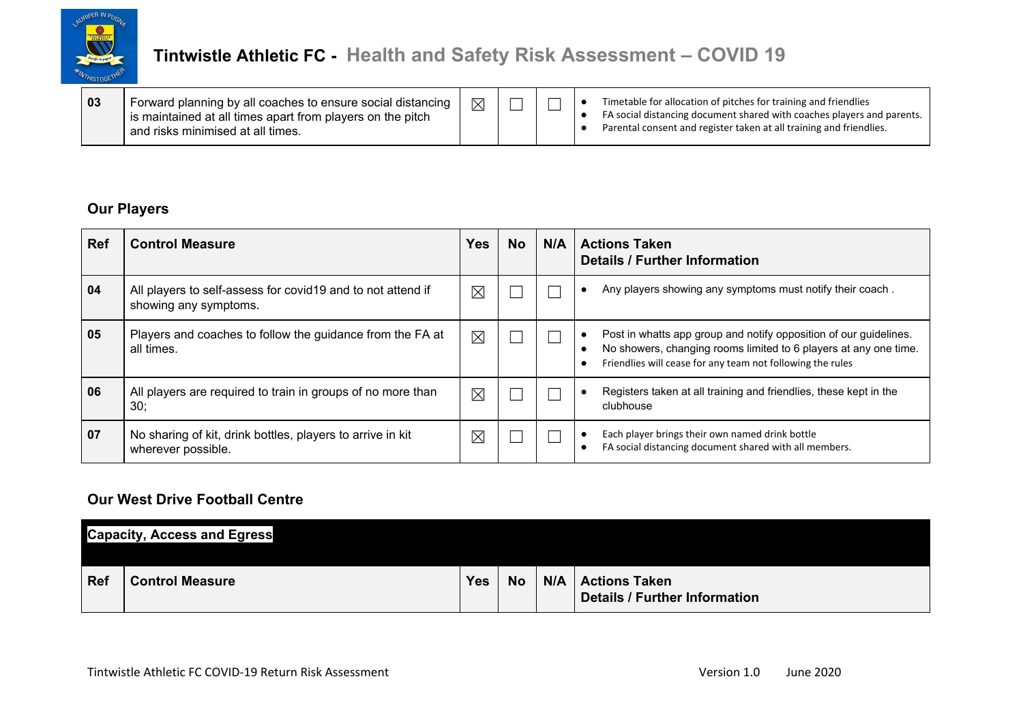

### **Our Players**

| <b>Ref</b> | <b>Control Measure</b>                                                                | Yes | <b>No</b> | N/A | <b>Actions Taken</b><br><b>Details / Further Information</b>                                                                                                                                        |
|------------|---------------------------------------------------------------------------------------|-----|-----------|-----|-----------------------------------------------------------------------------------------------------------------------------------------------------------------------------------------------------|
| 04         | All players to self-assess for covid 19 and to not attend if<br>showing any symptoms. | ⊠   |           |     | Any players showing any symptoms must notify their coach.                                                                                                                                           |
| 05         | Players and coaches to follow the guidance from the FA at<br>all times.               | ⊠   |           |     | Post in whatts app group and notify opposition of our guidelines.<br>No showers, changing rooms limited to 6 players at any one time.<br>Friendlies will cease for any team not following the rules |
| 06         | All players are required to train in groups of no more than<br>.30                    | ⊠   |           |     | Registers taken at all training and friendlies, these kept in the<br>clubhouse                                                                                                                      |
| 07         | No sharing of kit, drink bottles, players to arrive in kit<br>wherever possible.      | ⊠   |           |     | Each player brings their own named drink bottle<br>FA social distancing document shared with all members.                                                                                           |

### **Our West Drive Football Centre**

|            | <b>Capacity, Access and Egress</b> |            |           |                                                      |
|------------|------------------------------------|------------|-----------|------------------------------------------------------|
| <b>Ref</b> | <b>Control Measure</b>             | <b>Yes</b> | <b>No</b> | N/A   Actions Taken<br>Details / Further Information |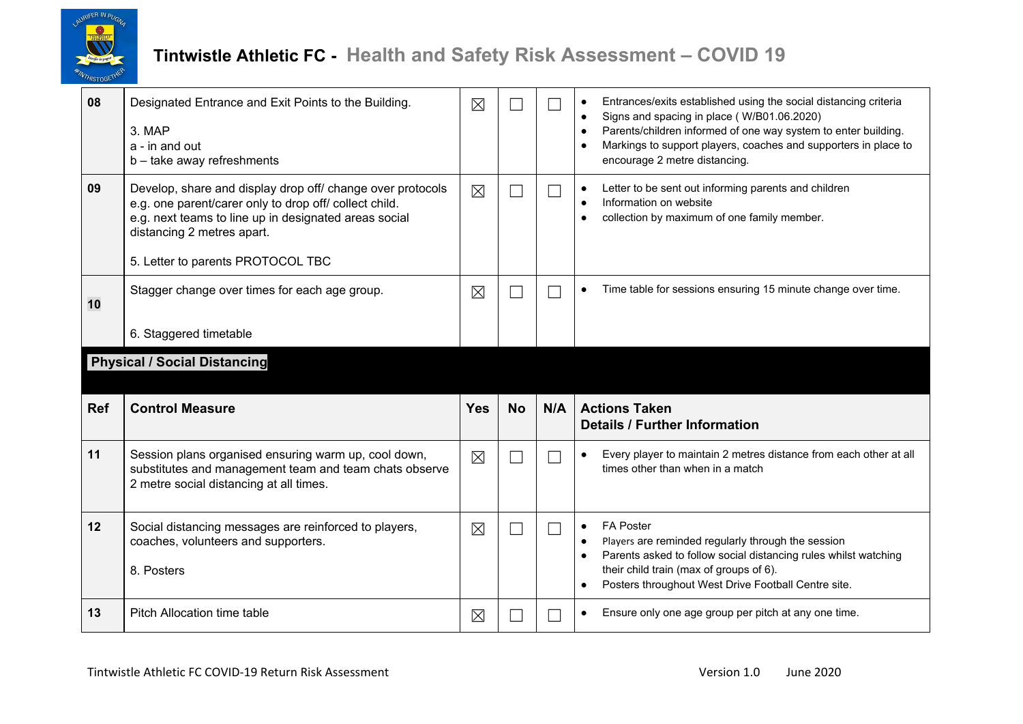

| 08         | Designated Entrance and Exit Points to the Building.<br>3. MAP<br>a - in and out<br>b - take away refreshments                                                                                                                                   | $\times$    |           |     | Entrances/exits established using the social distancing criteria<br>$\bullet$<br>Signs and spacing in place (W/B01.06.2020)<br>$\bullet$<br>Parents/children informed of one way system to enter building.<br>$\bullet$<br>Markings to support players, coaches and supporters in place to<br>$\bullet$<br>encourage 2 metre distancing. |
|------------|--------------------------------------------------------------------------------------------------------------------------------------------------------------------------------------------------------------------------------------------------|-------------|-----------|-----|------------------------------------------------------------------------------------------------------------------------------------------------------------------------------------------------------------------------------------------------------------------------------------------------------------------------------------------|
| 09         | Develop, share and display drop off/ change over protocols<br>e.g. one parent/carer only to drop off/ collect child.<br>e.g. next teams to line up in designated areas social<br>distancing 2 metres apart.<br>5. Letter to parents PROTOCOL TBC | $\boxtimes$ | L.        |     | Letter to be sent out informing parents and children<br>$\bullet$<br>Information on website<br>$\bullet$<br>collection by maximum of one family member.                                                                                                                                                                                  |
| 10         | Stagger change over times for each age group.<br>6. Staggered timetable                                                                                                                                                                          | $\times$    | L         |     | Time table for sessions ensuring 15 minute change over time.<br>$\bullet$                                                                                                                                                                                                                                                                |
|            | <b>Physical / Social Distancing</b>                                                                                                                                                                                                              |             |           |     |                                                                                                                                                                                                                                                                                                                                          |
|            |                                                                                                                                                                                                                                                  |             |           |     |                                                                                                                                                                                                                                                                                                                                          |
| <b>Ref</b> | <b>Control Measure</b>                                                                                                                                                                                                                           | <b>Yes</b>  | <b>No</b> | N/A | <b>Actions Taken</b><br><b>Details / Further Information</b>                                                                                                                                                                                                                                                                             |
| 11         | Session plans organised ensuring warm up, cool down,<br>substitutes and management team and team chats observe<br>2 metre social distancing at all times.                                                                                        | $\boxtimes$ |           |     | Every player to maintain 2 metres distance from each other at all<br>times other than when in a match                                                                                                                                                                                                                                    |
| 12         | Social distancing messages are reinforced to players,<br>coaches, volunteers and supporters.<br>8. Posters                                                                                                                                       | $\times$    |           |     | <b>FA Poster</b><br>٠<br>Players are reminded regularly through the session<br>$\bullet$<br>Parents asked to follow social distancing rules whilst watching<br>$\bullet$<br>their child train (max of groups of 6).<br>Posters throughout West Drive Football Centre site.<br>$\bullet$                                                  |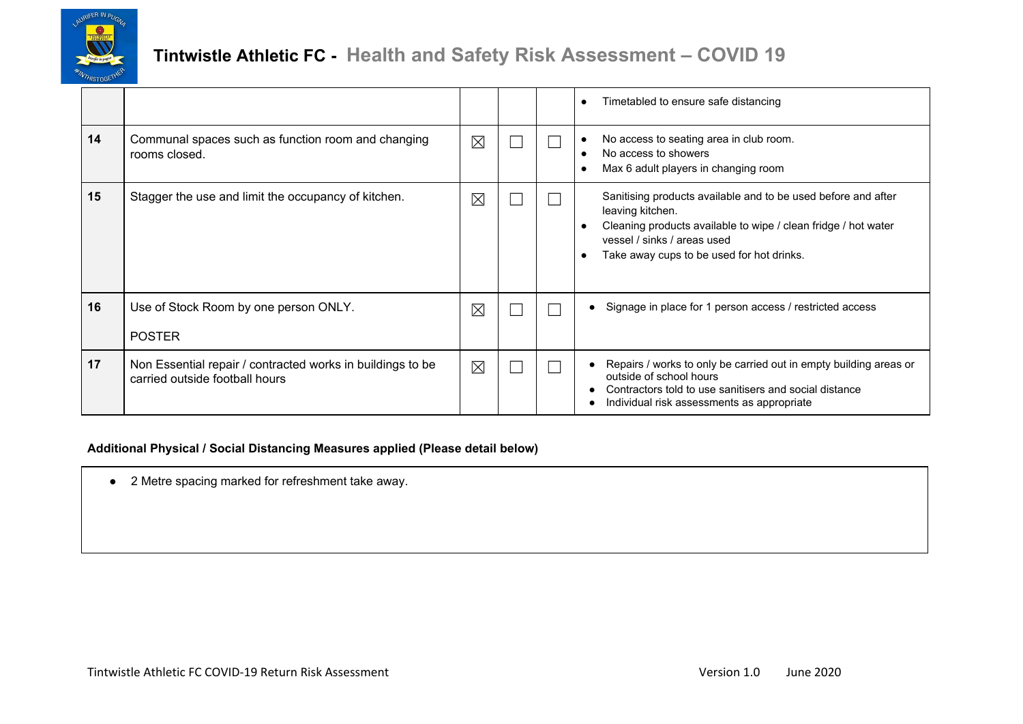

|    |                                                                                              |             |  | Timetabled to ensure safe distancing<br>$\bullet$                                                                                                                                                                                                         |
|----|----------------------------------------------------------------------------------------------|-------------|--|-----------------------------------------------------------------------------------------------------------------------------------------------------------------------------------------------------------------------------------------------------------|
| 14 | Communal spaces such as function room and changing<br>rooms closed.                          | $\times$    |  | No access to seating area in club room.<br>٠<br>No access to showers<br>$\bullet$<br>Max 6 adult players in changing room<br>$\bullet$                                                                                                                    |
| 15 | Stagger the use and limit the occupancy of kitchen.                                          | $\boxtimes$ |  | Sanitising products available and to be used before and after<br>leaving kitchen.<br>Cleaning products available to wipe / clean fridge / hot water<br>$\bullet$<br>vessel / sinks / areas used<br>Take away cups to be used for hot drinks.<br>$\bullet$ |
| 16 | Use of Stock Room by one person ONLY.<br><b>POSTER</b>                                       | $\times$    |  | Signage in place for 1 person access / restricted access                                                                                                                                                                                                  |
| 17 | Non Essential repair / contracted works in buildings to be<br>carried outside football hours | $\boxtimes$ |  | Repairs / works to only be carried out in empty building areas or<br>outside of school hours<br>Contractors told to use sanitisers and social distance<br>Individual risk assessments as appropriate                                                      |

#### **Additional Physical / Social Distancing Measures applied (Please detail below)**

● 2 Metre spacing marked for refreshment take away.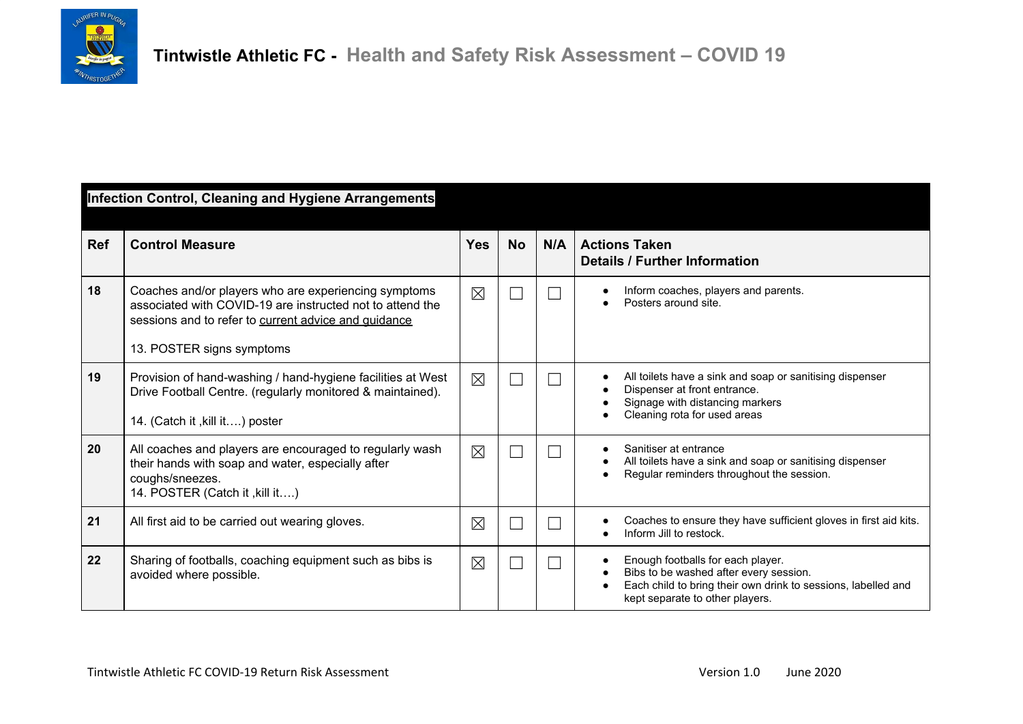

|     | <b>Infection Control, Cleaning and Hygiene Arrangements</b>                                                                                                                                            |             |           |     |                                                                                                                                                                                 |  |  |  |
|-----|--------------------------------------------------------------------------------------------------------------------------------------------------------------------------------------------------------|-------------|-----------|-----|---------------------------------------------------------------------------------------------------------------------------------------------------------------------------------|--|--|--|
| Ref | <b>Control Measure</b>                                                                                                                                                                                 | <b>Yes</b>  | <b>No</b> | N/A | <b>Actions Taken</b><br><b>Details / Further Information</b>                                                                                                                    |  |  |  |
| 18  | Coaches and/or players who are experiencing symptoms<br>associated with COVID-19 are instructed not to attend the<br>sessions and to refer to current advice and guidance<br>13. POSTER signs symptoms | $\boxtimes$ |           |     | Inform coaches, players and parents.<br>Posters around site.                                                                                                                    |  |  |  |
| 19  | Provision of hand-washing / hand-hygiene facilities at West<br>Drive Football Centre. (regularly monitored & maintained).<br>14. (Catch it, kill it) poster                                            | $\times$    |           |     | All toilets have a sink and soap or sanitising dispenser<br>Dispenser at front entrance.<br>Signage with distancing markers<br>Cleaning rota for used areas                     |  |  |  |
| 20  | All coaches and players are encouraged to regularly wash<br>their hands with soap and water, especially after<br>coughs/sneezes.<br>14. POSTER (Catch it , kill it)                                    | $\times$    |           |     | Sanitiser at entrance<br>All toilets have a sink and soap or sanitising dispenser<br>Regular reminders throughout the session.                                                  |  |  |  |
| 21  | All first aid to be carried out wearing gloves.                                                                                                                                                        | $\times$    |           |     | Coaches to ensure they have sufficient gloves in first aid kits.<br>Inform Jill to restock.                                                                                     |  |  |  |
| 22  | Sharing of footballs, coaching equipment such as bibs is<br>avoided where possible.                                                                                                                    | $\times$    |           |     | Enough footballs for each player.<br>Bibs to be washed after every session.<br>Each child to bring their own drink to sessions, labelled and<br>kept separate to other players. |  |  |  |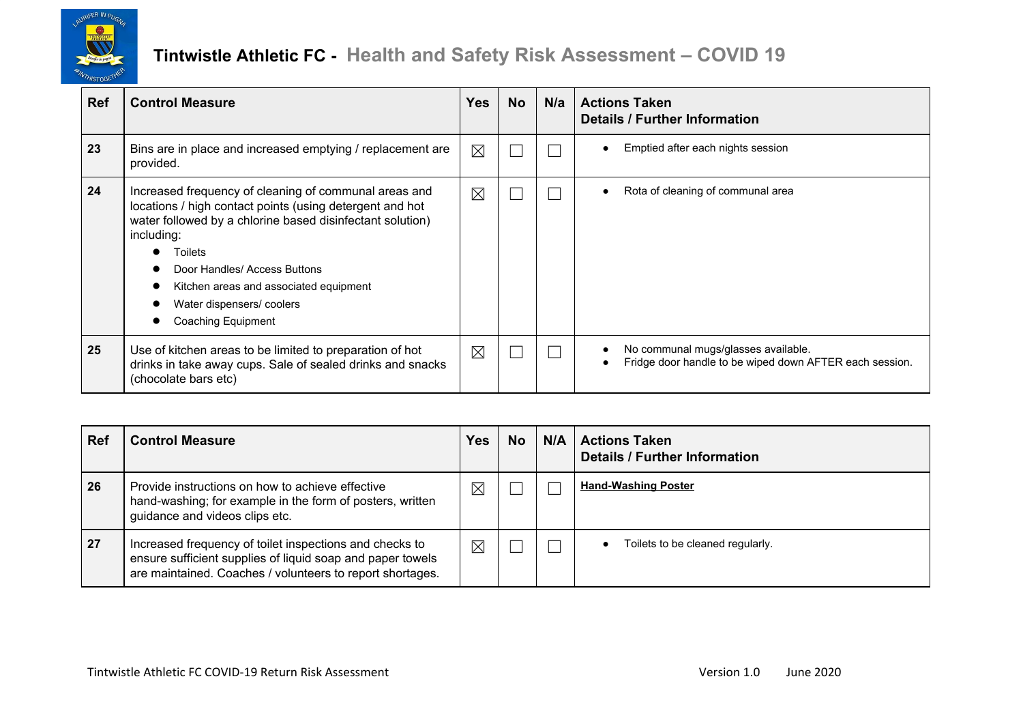

| <b>Ref</b> | <b>Control Measure</b>                                                                                                                                                                                                                                                                                                              | <b>Yes</b>  | <b>No</b> | N/a | <b>Actions Taken</b><br><b>Details / Further Information</b>                                   |
|------------|-------------------------------------------------------------------------------------------------------------------------------------------------------------------------------------------------------------------------------------------------------------------------------------------------------------------------------------|-------------|-----------|-----|------------------------------------------------------------------------------------------------|
| 23         | Bins are in place and increased emptying / replacement are<br>provided.                                                                                                                                                                                                                                                             | $\boxtimes$ |           |     | Emptied after each nights session                                                              |
| 24         | Increased frequency of cleaning of communal areas and<br>locations / high contact points (using detergent and hot<br>water followed by a chlorine based disinfectant solution)<br>including:<br>Toilets<br>Door Handles/ Access Buttons<br>Kitchen areas and associated equipment<br>Water dispensers/coolers<br>Coaching Equipment | $\boxtimes$ |           |     | Rota of cleaning of communal area                                                              |
| 25         | Use of kitchen areas to be limited to preparation of hot<br>drinks in take away cups. Sale of sealed drinks and snacks<br>(chocolate bars etc)                                                                                                                                                                                      | $\times$    |           |     | No communal mugs/glasses available.<br>Fridge door handle to be wiped down AFTER each session. |

| <b>Ref</b> | <b>Control Measure</b>                                                                                                                                                             | Yes      | <b>No</b> | N/A | l Actions Taken<br><b>Details / Further Information</b> |
|------------|------------------------------------------------------------------------------------------------------------------------------------------------------------------------------------|----------|-----------|-----|---------------------------------------------------------|
| 26         | Provide instructions on how to achieve effective<br>hand-washing; for example in the form of posters, written<br>guidance and videos clips etc.                                    | $\times$ |           |     | <b>Hand-Washing Poster</b>                              |
| 27         | Increased frequency of toilet inspections and checks to<br>ensure sufficient supplies of liquid soap and paper towels<br>are maintained. Coaches / volunteers to report shortages. | $\times$ |           |     | Toilets to be cleaned regularly.                        |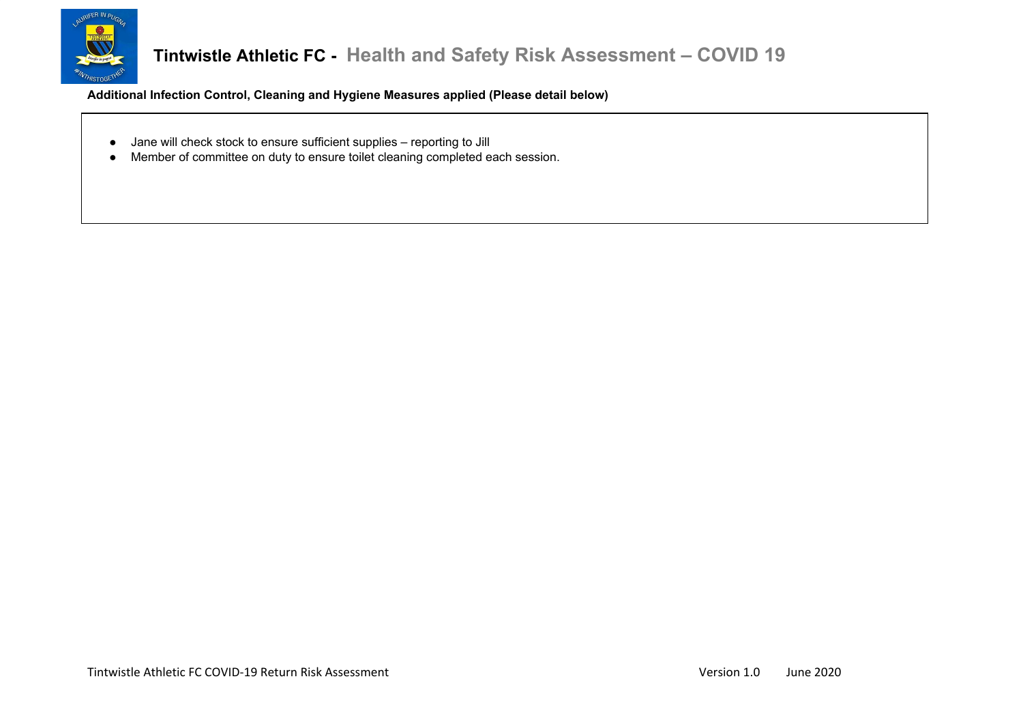

**Additional Infection Control, Cleaning and Hygiene Measures applied (Please detail below)**

- Jane will check stock to ensure sufficient supplies reporting to Jill
- Member of committee on duty to ensure toilet cleaning completed each session.